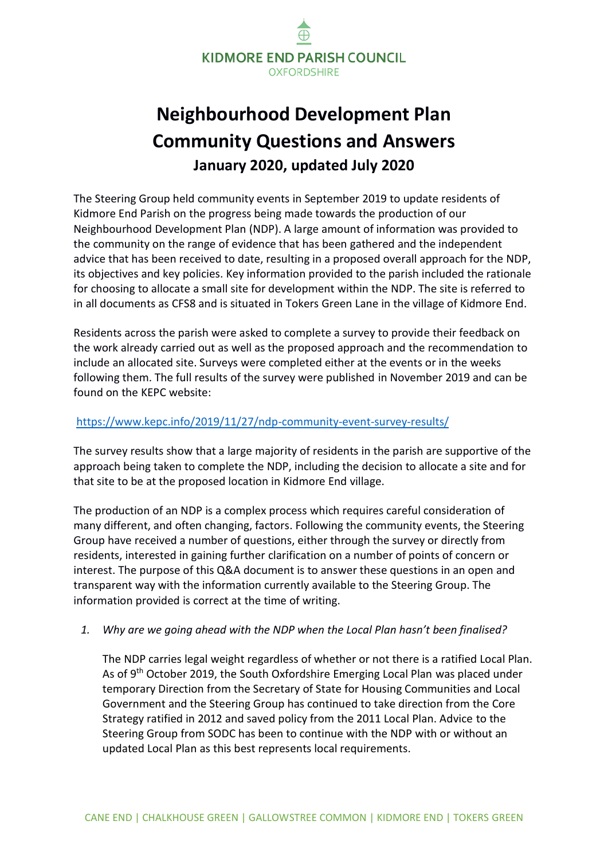

# **Neighbourhood Development Plan Community Questions and Answers January 2020, updated July 2020**

The Steering Group held community events in September 2019 to update residents of Kidmore End Parish on the progress being made towards the production of our Neighbourhood Development Plan (NDP). A large amount of information was provided to the community on the range of evidence that has been gathered and the independent advice that has been received to date, resulting in a proposed overall approach for the NDP, its objectives and key policies. Key information provided to the parish included the rationale for choosing to allocate a small site for development within the NDP. The site is referred to in all documents as CFS8 and is situated in Tokers Green Lane in the village of Kidmore End.

Residents across the parish were asked to complete a survey to provide their feedback on the work already carried out as well as the proposed approach and the recommendation to include an allocated site. Surveys were completed either at the events or in the weeks following them. The full results of the survey were published in November 2019 and can be found on the KEPC website:

#### <https://www.kepc.info/2019/11/27/ndp-community-event-survey-results/>

The survey results show that a large majority of residents in the parish are supportive of the approach being taken to complete the NDP, including the decision to allocate a site and for that site to be at the proposed location in Kidmore End village.

The production of an NDP is a complex process which requires careful consideration of many different, and often changing, factors. Following the community events, the Steering Group have received a number of questions, either through the survey or directly from residents, interested in gaining further clarification on a number of points of concern or interest. The purpose of this Q&A document is to answer these questions in an open and transparent way with the information currently available to the Steering Group. The information provided is correct at the time of writing.

#### *1. Why are we going ahead with the NDP when the Local Plan hasn't been finalised?*

The NDP carries legal weight regardless of whether or not there is a ratified Local Plan. As of 9<sup>th</sup> October 2019, the South Oxfordshire Emerging Local Plan was placed under temporary Direction from the Secretary of State for Housing Communities and Local Government and the Steering Group has continued to take direction from the Core Strategy ratified in 2012 and saved policy from the 2011 Local Plan. Advice to the Steering Group from SODC has been to continue with the NDP with or without an updated Local Plan as this best represents local requirements.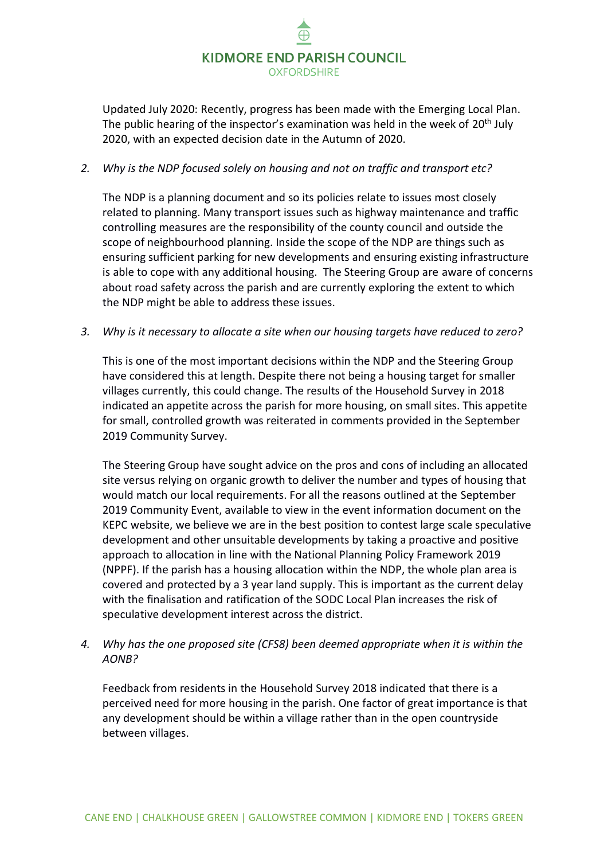

Updated July 2020: Recently, progress has been made with the Emerging Local Plan. The public hearing of the inspector's examination was held in the week of  $20<sup>th</sup>$  July 2020, with an expected decision date in the Autumn of 2020.

### *2. Why is the NDP focused solely on housing and not on traffic and transport etc?*

The NDP is a planning document and so its policies relate to issues most closely related to planning. Many transport issues such as highway maintenance and traffic controlling measures are the responsibility of the county council and outside the scope of neighbourhood planning. Inside the scope of the NDP are things such as ensuring sufficient parking for new developments and ensuring existing infrastructure is able to cope with any additional housing. The Steering Group are aware of concerns about road safety across the parish and are currently exploring the extent to which the NDP might be able to address these issues.

*3. Why is it necessary to allocate a site when our housing targets have reduced to zero?*

This is one of the most important decisions within the NDP and the Steering Group have considered this at length. Despite there not being a housing target for smaller villages currently, this could change. The results of the Household Survey in 2018 indicated an appetite across the parish for more housing, on small sites. This appetite for small, controlled growth was reiterated in comments provided in the September 2019 Community Survey.

The Steering Group have sought advice on the pros and cons of including an allocated site versus relying on organic growth to deliver the number and types of housing that would match our local requirements. For all the reasons outlined at the September 2019 Community Event, available to view in the event information document on the KEPC website, we believe we are in the best position to contest large scale speculative development and other unsuitable developments by taking a proactive and positive approach to allocation in line with the National Planning Policy Framework 2019 (NPPF). If the parish has a housing allocation within the NDP, the whole plan area is covered and protected by a 3 year land supply. This is important as the current delay with the finalisation and ratification of the SODC Local Plan increases the risk of speculative development interest across the district.

*4. Why has the one proposed site (CFS8) been deemed appropriate when it is within the AONB?*

Feedback from residents in the Household Survey 2018 indicated that there is a perceived need for more housing in the parish. One factor of great importance is that any development should be within a village rather than in the open countryside between villages.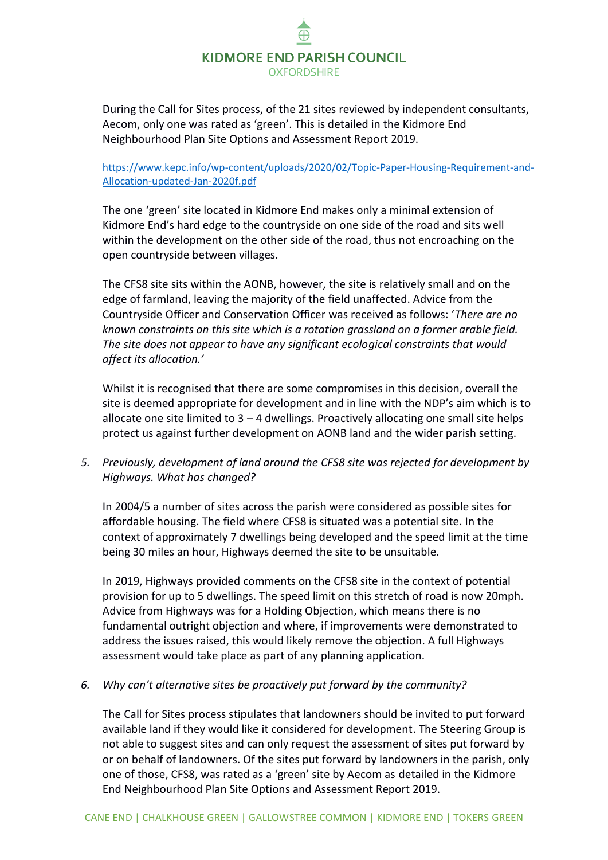

During the Call for Sites process, of the 21 sites reviewed by independent consultants, Aecom, only one was rated as 'green'. This is detailed in the Kidmore End Neighbourhood Plan Site Options and Assessment Report 2019.

### [https://www.kepc.info/wp-content/uploads/2020/02/Topic-Paper-Housing-Requirement-and-](https://www.kepc.info/wp-content/uploads/2020/02/Topic-Paper-Housing-Requirement-and-Allocation-updated-Jan-2020f.pdf)[Allocation-updated-Jan-2020f.pdf](https://www.kepc.info/wp-content/uploads/2020/02/Topic-Paper-Housing-Requirement-and-Allocation-updated-Jan-2020f.pdf)

The one 'green' site located in Kidmore End makes only a minimal extension of Kidmore End's hard edge to the countryside on one side of the road and sits well within the development on the other side of the road, thus not encroaching on the open countryside between villages.

The CFS8 site sits within the AONB, however, the site is relatively small and on the edge of farmland, leaving the majority of the field unaffected. Advice from the Countryside Officer and Conservation Officer was received as follows: '*There are no known constraints on this site which is a rotation grassland on a former arable field. The site does not appear to have any significant ecological constraints that would affect its allocation.'*

Whilst it is recognised that there are some compromises in this decision, overall the site is deemed appropriate for development and in line with the NDP's aim which is to allocate one site limited to  $3 - 4$  dwellings. Proactively allocating one small site helps protect us against further development on AONB land and the wider parish setting.

*5. Previously, development of land around the CFS8 site was rejected for development by Highways. What has changed?*

In 2004/5 a number of sites across the parish were considered as possible sites for affordable housing. The field where CFS8 is situated was a potential site. In the context of approximately 7 dwellings being developed and the speed limit at the time being 30 miles an hour, Highways deemed the site to be unsuitable.

In 2019, Highways provided comments on the CFS8 site in the context of potential provision for up to 5 dwellings. The speed limit on this stretch of road is now 20mph. Advice from Highways was for a Holding Objection, which means there is no fundamental outright objection and where, if improvements were demonstrated to address the issues raised, this would likely remove the objection. A full Highways assessment would take place as part of any planning application.

*6. Why can't alternative sites be proactively put forward by the community?*

The Call for Sites process stipulates that landowners should be invited to put forward available land if they would like it considered for development. The Steering Group is not able to suggest sites and can only request the assessment of sites put forward by or on behalf of landowners. Of the sites put forward by landowners in the parish, only one of those, CFS8, was rated as a 'green' site by Aecom as detailed in the Kidmore End Neighbourhood Plan Site Options and Assessment Report 2019.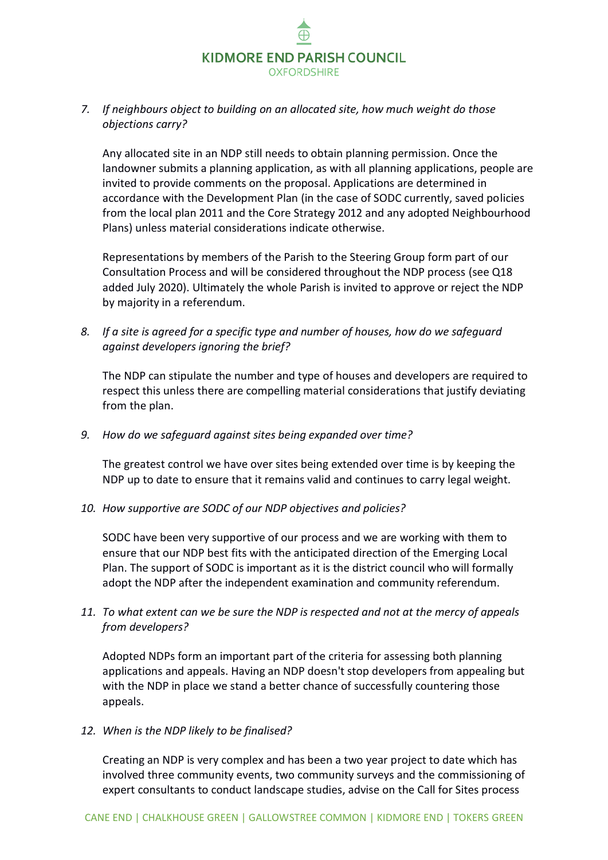

# *7. If neighbours object to building on an allocated site, how much weight do those objections carry?*

Any allocated site in an NDP still needs to obtain planning permission. Once the landowner submits a planning application, as with all planning applications, people are invited to provide comments on the proposal. Applications are determined in accordance with the Development Plan (in the case of SODC currently, saved policies from the local plan 2011 and the Core Strategy 2012 and any adopted Neighbourhood Plans) unless material considerations indicate otherwise.

Representations by members of the Parish to the Steering Group form part of our Consultation Process and will be considered throughout the NDP process (see Q18 added July 2020). Ultimately the whole Parish is invited to approve or reject the NDP by majority in a referendum.

*8. If a site is agreed for a specific type and number of houses, how do we safeguard against developers ignoring the brief?*

The NDP can stipulate the number and type of houses and developers are required to respect this unless there are compelling material considerations that justify deviating from the plan.

*9. How do we safeguard against sites being expanded over time?*

The greatest control we have over sites being extended over time is by keeping the NDP up to date to ensure that it remains valid and continues to carry legal weight.

*10. How supportive are SODC of our NDP objectives and policies?*

SODC have been very supportive of our process and we are working with them to ensure that our NDP best fits with the anticipated direction of the Emerging Local Plan. The support of SODC is important as it is the district council who will formally adopt the NDP after the independent examination and community referendum.

*11. To what extent can we be sure the NDP is respected and not at the mercy of appeals from developers?* 

Adopted NDPs form an important part of the criteria for assessing both planning applications and appeals. Having an NDP doesn't stop developers from appealing but with the NDP in place we stand a better chance of successfully countering those appeals.

*12. When is the NDP likely to be finalised?*

Creating an NDP is very complex and has been a two year project to date which has involved three community events, two community surveys and the commissioning of expert consultants to conduct landscape studies, advise on the Call for Sites process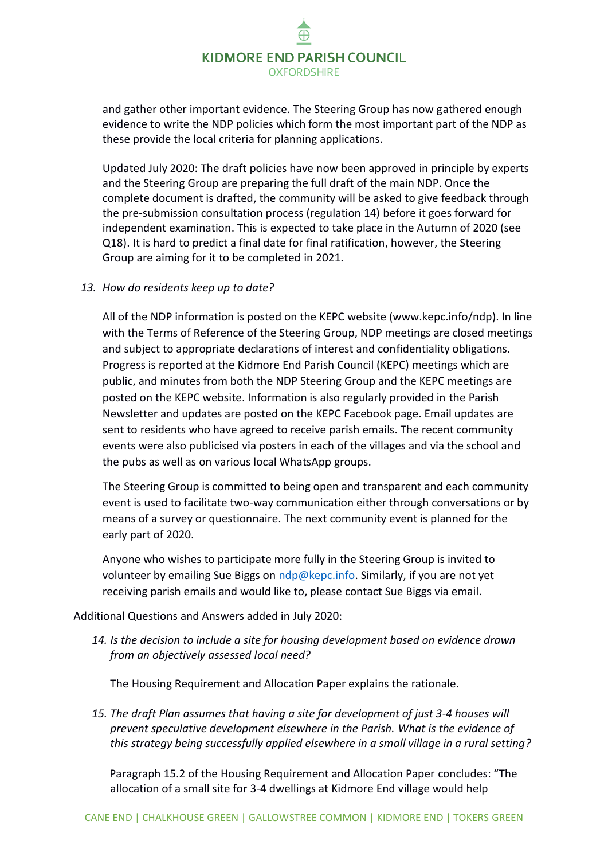# KIDMORE END PARISH COUNCIL **OXFORDSHIRE**

and gather other important evidence. The Steering Group has now gathered enough evidence to write the NDP policies which form the most important part of the NDP as these provide the local criteria for planning applications.

Updated July 2020: The draft policies have now been approved in principle by experts and the Steering Group are preparing the full draft of the main NDP. Once the complete document is drafted, the community will be asked to give feedback through the pre-submission consultation process (regulation 14) before it goes forward for independent examination. This is expected to take place in the Autumn of 2020 (see Q18). It is hard to predict a final date for final ratification, however, the Steering Group are aiming for it to be completed in 2021.

## *13. How do residents keep up to date?*

All of the NDP information is posted on the KEPC website (www.kepc.info/ndp). In line with the Terms of Reference of the Steering Group, NDP meetings are closed meetings and subject to appropriate declarations of interest and confidentiality obligations. Progress is reported at the Kidmore End Parish Council (KEPC) meetings which are public, and minutes from both the NDP Steering Group and the KEPC meetings are posted on the KEPC website. Information is also regularly provided in the Parish Newsletter and updates are posted on the KEPC Facebook page. Email updates are sent to residents who have agreed to receive parish emails. The recent community events were also publicised via posters in each of the villages and via the school and the pubs as well as on various local WhatsApp groups.

The Steering Group is committed to being open and transparent and each community event is used to facilitate two-way communication either through conversations or by means of a survey or questionnaire. The next community event is planned for the early part of 2020.

Anyone who wishes to participate more fully in the Steering Group is invited to volunteer by emailing Sue Biggs on [ndp@kepc.info.](mailto:ndp@kepc.info) Similarly, if you are not yet receiving parish emails and would like to, please contact Sue Biggs via email.

Additional Questions and Answers added in July 2020:

*14. Is the decision to include a site for housing development based on evidence drawn from an objectively assessed local need?*

The Housing Requirement and Allocation Paper explains the rationale.

*15. The draft Plan assumes that having a site for development of just 3-4 houses will prevent speculative development elsewhere in the Parish. What is the evidence of this strategy being successfully applied elsewhere in a small village in a rural setting?*

Paragraph 15.2 of the Housing Requirement and Allocation Paper concludes: "The allocation of a small site for 3-4 dwellings at Kidmore End village would help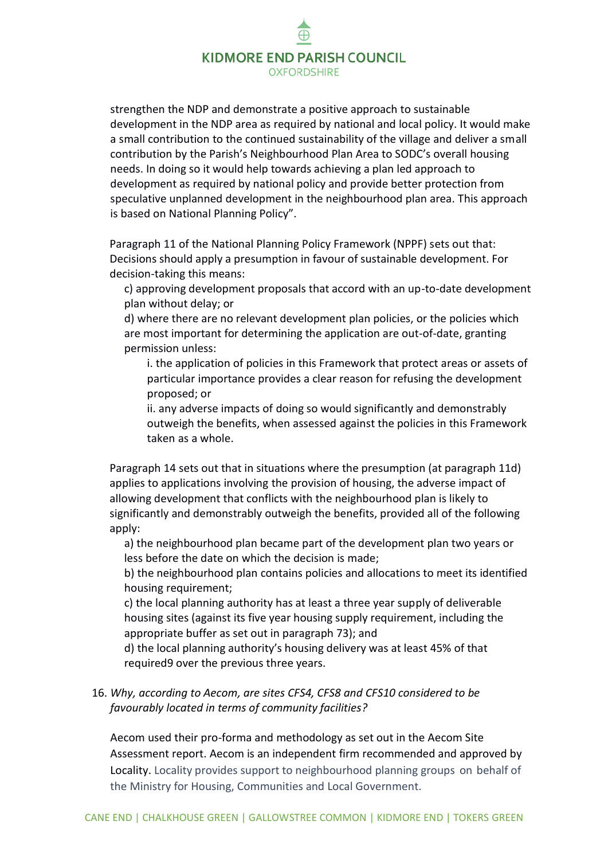# **KIDMORE END PARISH COUNCIL OXFORDSHIRE**

strengthen the NDP and demonstrate a positive approach to sustainable development in the NDP area as required by national and local policy. It would make a small contribution to the continued sustainability of the village and deliver a small contribution by the Parish's Neighbourhood Plan Area to SODC's overall housing needs. In doing so it would help towards achieving a plan led approach to development as required by national policy and provide better protection from speculative unplanned development in the neighbourhood plan area. This approach is based on National Planning Policy".

Paragraph 11 of the National Planning Policy Framework (NPPF) sets out that: Decisions should apply a presumption in favour of sustainable development. For decision-taking this means:

c) approving development proposals that accord with an up-to-date development plan without delay; or

d) where there are no relevant development plan policies, or the policies which are most important for determining the application are out-of-date, granting permission unless:

i. the application of policies in this Framework that protect areas or assets of particular importance provides a clear reason for refusing the development proposed; or

ii. any adverse impacts of doing so would significantly and demonstrably outweigh the benefits, when assessed against the policies in this Framework taken as a whole.

Paragraph 14 sets out that in situations where the presumption (at paragraph 11d) applies to applications involving the provision of housing, the adverse impact of allowing development that conflicts with the neighbourhood plan is likely to significantly and demonstrably outweigh the benefits, provided all of the following apply:

a) the neighbourhood plan became part of the development plan two years or less before the date on which the decision is made;

b) the neighbourhood plan contains policies and allocations to meet its identified housing requirement;

c) the local planning authority has at least a three year supply of deliverable housing sites (against its five year housing supply requirement, including the appropriate buffer as set out in paragraph 73); and

d) the local planning authority's housing delivery was at least 45% of that required9 over the previous three years.

# 16. *Why, according to Aecom, are sites CFS4, CFS8 and CFS10 considered to be favourably located in terms of community facilities?*

Aecom used their pro-forma and methodology as set out in the Aecom Site Assessment report. Aecom is an independent firm recommended and approved by Locality. Locality provides support to neighbourhood planning groups on behalf of the Ministry for Housing, Communities and Local Government.